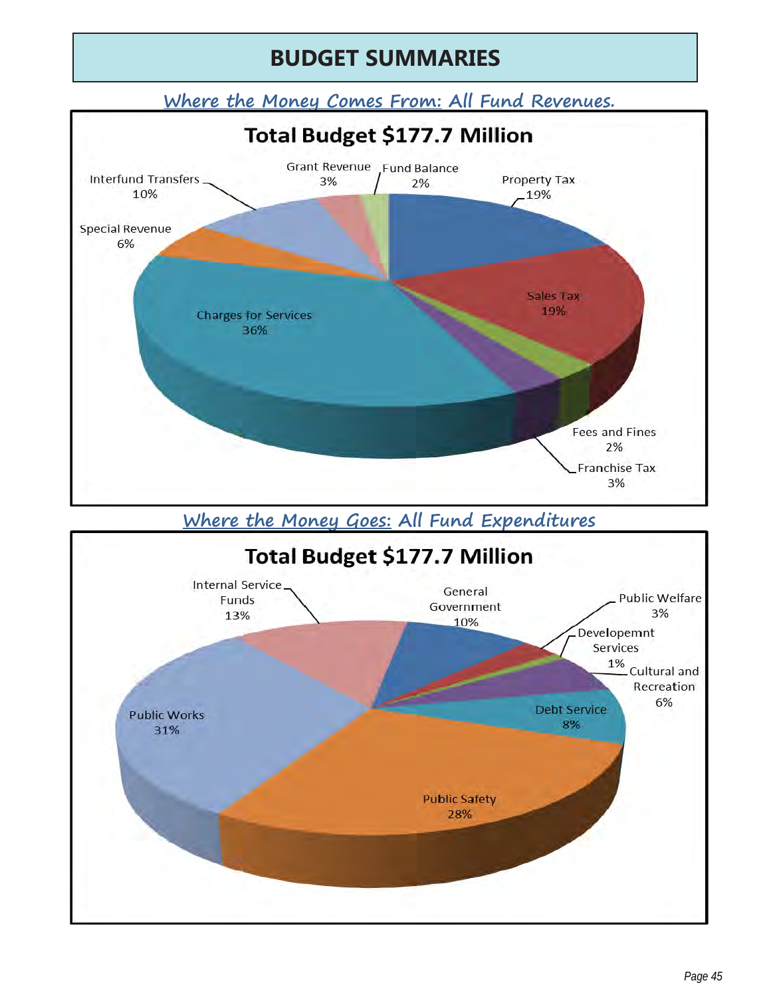# **BUDGET SUMMARIES**

**Where the Money Comes From: All Fund Revenues.**

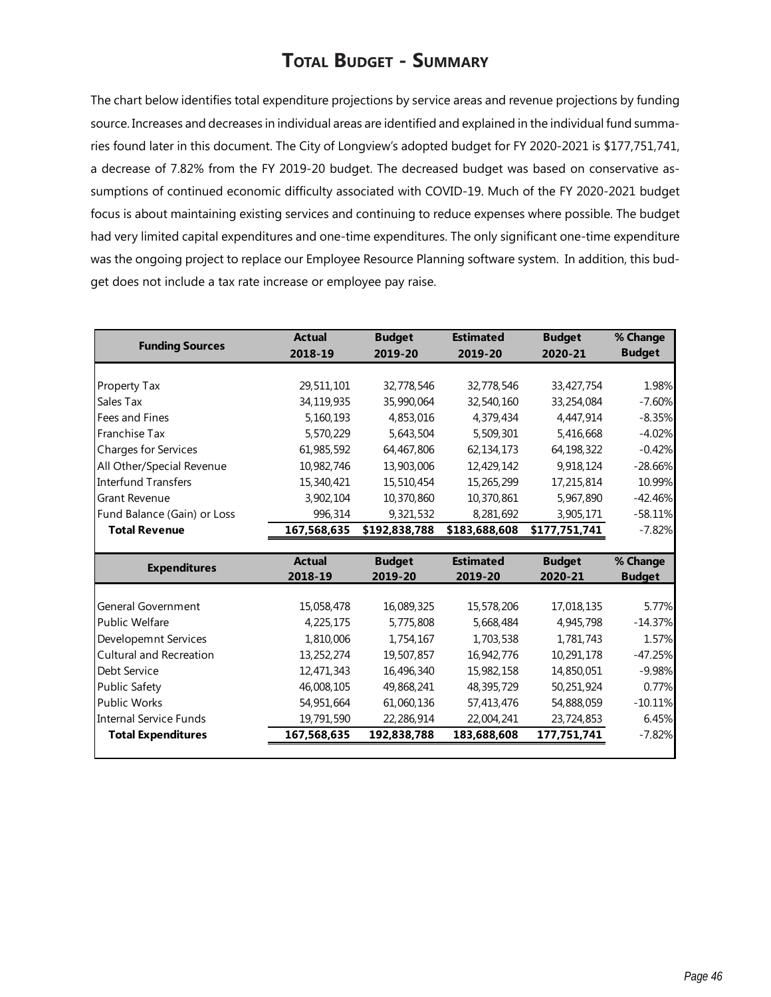### **Total Budget - Summary**

The chart below identifies total expenditure projections by service areas and revenue projections by funding source. Increases and decreases in individual areas are identified and explained in the individual fund summaries found later in this document. The City of Longview's adopted budget for FY 2020-2021 is \$177,751,741, a decrease of 7.82% from the FY 2019-20 budget. The decreased budget was based on conservative assumptions of continued economic difficulty associated with COVID-19. Much of the FY 2020-2021 budget focus is about maintaining existing services and continuing to reduce expenses where possible. The budget had very limited capital expenditures and one-time expenditures. The only significant one-time expenditure was the ongoing project to replace our Employee Resource Planning software system. In addition, this budget does not include a tax rate increase or employee pay raise.

| <b>Actual</b> | <b>Budget</b> | <b>Estimated</b> | <b>Budget</b> | % Change           |
|---------------|---------------|------------------|---------------|--------------------|
| 2018-19       | 2019-20       | 2019-20          | 2020-21       | <b>Budget</b>      |
|               |               |                  |               |                    |
| 29,511,101    | 32,778,546    | 32,778,546       | 33,427,754    | 1.98%              |
| 34,119,935    | 35,990,064    | 32,540,160       | 33,254,084    | $-7.60%$           |
| 5,160,193     | 4,853,016     | 4,379,434        | 4,447,914     | $-8.35%$           |
| 5,570,229     | 5,643,504     | 5,509,301        | 5,416,668     | $-4.02%$           |
| 61,985,592    | 64,467,806    | 62, 134, 173     | 64,198,322    | $-0.42%$           |
| 10,982,746    | 13,903,006    | 12,429,142       | 9.918.124     | $-28.66%$          |
| 15,340,421    | 15,510,454    | 15,265,299       | 17,215,814    | 10.99%             |
| 3,902,104     | 10,370,860    | 10,370,861       | 5,967,890     | $-42.46%$          |
| 996,314       | 9,321,532     | 8,281,692        | 3,905,171     | $-58.11%$          |
| 167,568,635   | \$192,838,788 | \$183,688,608    | \$177,751,741 | $-7.82%$           |
|               |               |                  |               |                    |
| <b>Actual</b> |               |                  |               |                    |
|               | <b>Budget</b> | <b>Estimated</b> | <b>Budget</b> | % Change           |
| 2018-19       | 2019-20       | 2019-20          | 2020-21       | <b>Budget</b>      |
|               |               |                  |               |                    |
| 15,058,478    | 16.089.325    | 15,578,206       | 17,018,135    | 5.77%              |
| 4,225,175     | 5,775,808     | 5,668,484        | 4,945,798     | $-14.37%$          |
| 1,810,006     | 1,754,167     | 1,703,538        | 1,781,743     | 1.57%              |
| 13,252,274    | 19,507,857    | 16,942,776       | 10,291,178    | $-47.25%$          |
| 12,471,343    | 16,496,340    | 15,982,158       | 14,850,051    | $-9.98%$           |
| 46,008,105    | 49,868,241    | 48,395,729       | 50,251,924    | 0.77%              |
| 54,951,664    | 61,060,136    | 57,413,476       | 54,888,059    |                    |
| 19,791,590    | 22,286,914    | 22,004,241       | 23,724,853    | $-10.11%$<br>6.45% |
|               |               |                  |               |                    |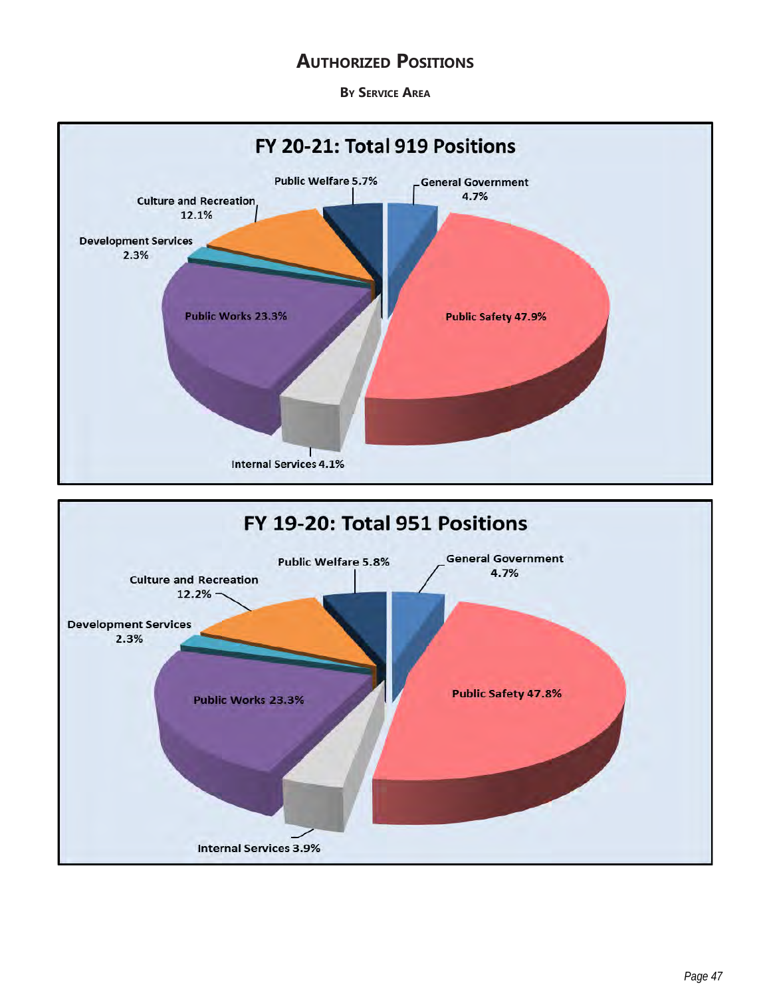#### **Authorized Positions**

**By Service Area**

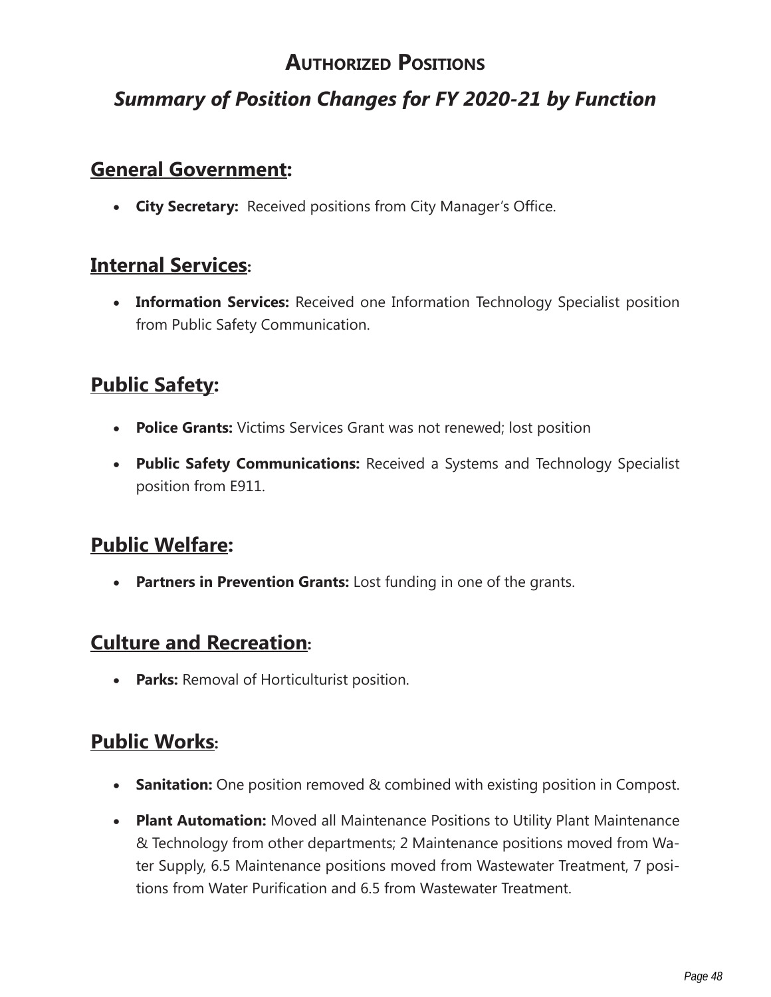# **Authorized Positions**

# *Summary of Position Changes for FY 2020-21 by Function*

### **General Government:**

**• City Secretary:** Received positions from City Manager's Office.

### **Internal Services:**

• **Information Services:** Received one Information Technology Specialist position from Public Safety Communication.

## **Public Safety:**

- **Police Grants:** Victims Services Grant was not renewed; lost position
- **Public Safety Communications:** Received a Systems and Technology Specialist position from E911.

### **Public Welfare:**

**• Partners in Prevention Grants:** Lost funding in one of the grants.

#### **Culture and Recreation:**

• **Parks:** Removal of Horticulturist position.

### **Public Works:**

- **Sanitation:** One position removed & combined with existing position in Compost.
- **Plant Automation:** Moved all Maintenance Positions to Utility Plant Maintenance & Technology from other departments; 2 Maintenance positions moved from Water Supply, 6.5 Maintenance positions moved from Wastewater Treatment, 7 positions from Water Purification and 6.5 from Wastewater Treatment.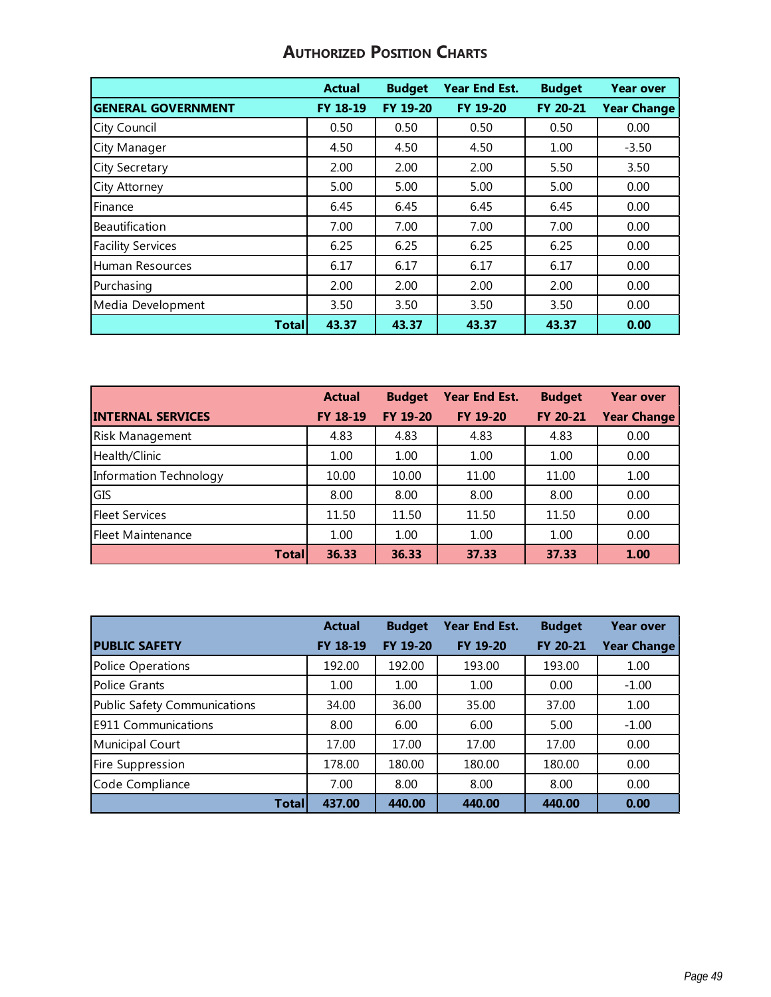|                           | <b>Actual</b> | <b>Budget</b> | Year End Est. | <b>Budget</b> | <b>Year over</b>   |
|---------------------------|---------------|---------------|---------------|---------------|--------------------|
| <b>GENERAL GOVERNMENT</b> | FY 18-19      | FY 19-20      | FY 19-20      | FY 20-21      | <b>Year Change</b> |
| <b>City Council</b>       | 0.50          | 0.50          | 0.50          | 0.50          | 0.00               |
| City Manager              | 4.50          | 4.50          | 4.50          | 1.00          | $-3.50$            |
| <b>City Secretary</b>     | 2.00          | 2.00          | 2.00          | 5.50          | 3.50               |
| City Attorney             | 5.00          | 5.00          | 5.00          | 5.00          | 0.00               |
| Finance                   | 6.45          | 6.45          | 6.45          | 6.45          | 0.00               |
| Beautification            | 7.00          | 7.00          | 7.00          | 7.00          | 0.00               |
| <b>Facility Services</b>  | 6.25          | 6.25          | 6.25          | 6.25          | 0.00               |
| Human Resources           | 6.17          | 6.17          | 6.17          | 6.17          | 0.00               |
| Purchasing                | 2.00          | 2.00          | 2.00          | 2.00          | 0.00               |
| Media Development         | 3.50          | 3.50          | 3.50          | 3.50          | 0.00               |
| <b>Total</b>              | 43.37         | 43.37         | 43.37         | 43.37         | 0.00               |

#### **Authorized Position Charts**

|                          | <b>Actual</b> | <b>Budget</b> | <b>Year End Est.</b> | <b>Budget</b> | <b>Year over</b>   |
|--------------------------|---------------|---------------|----------------------|---------------|--------------------|
| <b>INTERNAL SERVICES</b> | FY 18-19      | FY 19-20      | FY 19-20             | FY 20-21      | <b>Year Change</b> |
| Risk Management          | 4.83          | 4.83          | 4.83                 | 4.83          | 0.00               |
| Health/Clinic            | 1.00          | 1.00          | 1.00                 | 1.00          | 0.00               |
| Information Technology   | 10.00         | 10.00         | 11.00                | 11.00         | 1.00               |
| GIS                      | 8.00          | 8.00          | 8.00                 | 8.00          | 0.00               |
| <b>Fleet Services</b>    | 11.50         | 11.50         | 11.50                | 11.50         | 0.00               |
| Fleet Maintenance        | 1.00          | 1.00          | 1.00                 | 1.00          | 0.00               |
| <b>Total</b>             | 36.33         | 36.33         | 37.33                | 37.33         | 1.00               |

|                                     | <b>Actual</b> | <b>Budget</b> | Year End Est. | <b>Budget</b> | <b>Year over</b>   |
|-------------------------------------|---------------|---------------|---------------|---------------|--------------------|
| <b>PUBLIC SAFETY</b>                | FY 18-19      | FY 19-20      | FY 19-20      | FY 20-21      | <b>Year Change</b> |
| Police Operations                   | 192.00        | 192.00        | 193.00        | 193.00        | 1.00               |
| <b>Police Grants</b>                | 1.00          | 1.00          | 1.00          | 0.00          | $-1.00$            |
| <b>Public Safety Communications</b> | 34.00         | 36.00         | 35.00         | 37.00         | 1.00               |
| <b>E911 Communications</b>          | 8.00          | 6.00          | 6.00          | 5.00          | $-1.00$            |
| Municipal Court                     | 17.00         | 17.00         | 17.00         | 17.00         | 0.00               |
| Fire Suppression                    | 178.00        | 180.00        | 180.00        | 180.00        | 0.00               |
| Code Compliance                     | 7.00          | 8.00          | 8.00          | 8.00          | 0.00               |
| Totall                              | 437.00        | 440.00        | 440.00        | 440.00        | 0.00               |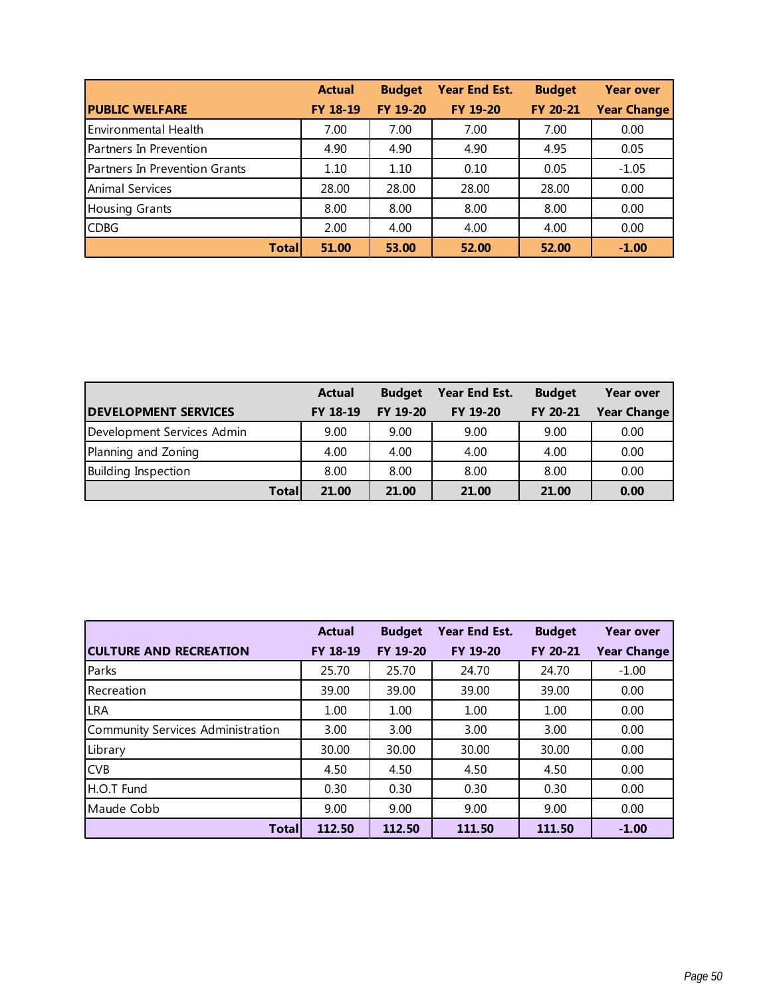|                               | <b>Actual</b> | <b>Budget</b> | <b>Year End Est.</b> | <b>Budget</b> | <b>Year over</b>   |
|-------------------------------|---------------|---------------|----------------------|---------------|--------------------|
| <b>PUBLIC WELFARE</b>         | FY 18-19      | FY 19-20      | <b>FY 19-20</b>      | FY 20-21      | <b>Year Change</b> |
| <b>Environmental Health</b>   | 7.00          | 7.00          | 7.00                 | 7.00          | 0.00               |
| Partners In Prevention        | 4.90          | 4.90          | 4.90                 | 4.95          | 0.05               |
| Partners In Prevention Grants | 1.10          | 1.10          | 0.10                 | 0.05          | $-1.05$            |
| <b>Animal Services</b>        | 28.00         | 28.00         | 28.00                | 28.00         | 0.00               |
| <b>Housing Grants</b>         | 8.00          | 8.00          | 8.00                 | 8.00          | 0.00               |
| <b>CDBG</b>                   | 2.00          | 4.00          | 4.00                 | 4.00          | 0.00               |
| Totall                        | 51.00         | 53.00         | 52.00                | 52.00         | $-1.00$            |

|                             | <b>Actual</b> | <b>Budget</b> | Year End Est. | <b>Budget</b> | <b>Year over</b>   |
|-----------------------------|---------------|---------------|---------------|---------------|--------------------|
| <b>DEVELOPMENT SERVICES</b> | FY 18-19      | FY 19-20      | FY 19-20      | FY 20-21      | <b>Year Change</b> |
| Development Services Admin  | 9.00          | 9.00          | 9.00          | 9.00          | 0.00               |
| Planning and Zoning         | 4.00          | 4.00          | 4.00          | 4.00          | 0.00               |
| <b>Building Inspection</b>  | 8.00          | 8.00          | 8.00          | 8.00          | 0.00               |
| <b>Totall</b>               | 21.00         | 21.00         | 21.00         | 21.00         | 0.00               |

|                                   | <b>Actual</b>   | <b>Budget</b> | <b>Year End Est.</b> | <b>Budget</b> | <b>Year over</b>   |
|-----------------------------------|-----------------|---------------|----------------------|---------------|--------------------|
| <b>CULTURE AND RECREATION</b>     | <b>FY 18-19</b> | FY 19-20      | FY 19-20             | FY 20-21      | <b>Year Change</b> |
| Parks                             | 25.70           | 25.70         | 24.70                | 24.70         | $-1.00$            |
| Recreation                        | 39.00           | 39.00         | 39.00                | 39.00         | 0.00               |
| LRA                               | 1.00            | 1.00          | 1.00                 | 1.00          | 0.00               |
| Community Services Administration | 3.00            | 3.00          | 3.00                 | 3.00          | 0.00               |
| Library                           | 30.00           | 30.00         | 30.00                | 30.00         | 0.00               |
| <b>CVB</b>                        | 4.50            | 4.50          | 4.50                 | 4.50          | 0.00               |
| H.O.T Fund                        | 0.30            | 0.30          | 0.30                 | 0.30          | 0.00               |
| Maude Cobb                        | 9.00            | 9.00          | 9.00                 | 9.00          | 0.00               |
| <b>Total</b>                      | 112.50          | 112.50        | 111.50               | 111.50        | $-1.00$            |